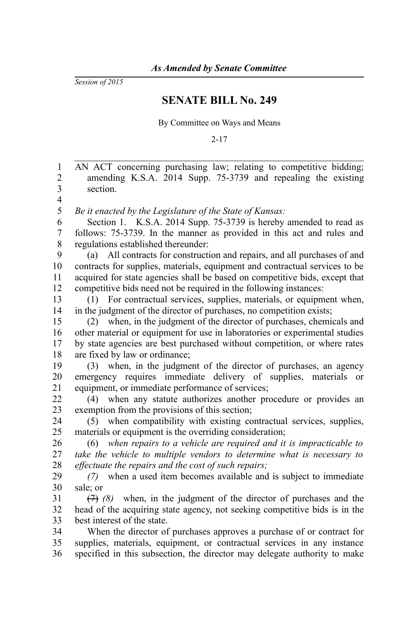*Session of 2015*

## **SENATE BILL No. 249**

By Committee on Ways and Means

2-17

AN ACT concerning purchasing law; relating to competitive bidding; amending K.S.A. 2014 Supp. 75-3739 and repealing the existing section. *Be it enacted by the Legislature of the State of Kansas:* Section 1. K.S.A. 2014 Supp. 75-3739 is hereby amended to read as follows: 75-3739. In the manner as provided in this act and rules and regulations established thereunder: (a) All contracts for construction and repairs, and all purchases of and contracts for supplies, materials, equipment and contractual services to be acquired for state agencies shall be based on competitive bids, except that competitive bids need not be required in the following instances: (1) For contractual services, supplies, materials, or equipment when, in the judgment of the director of purchases, no competition exists; (2) when, in the judgment of the director of purchases, chemicals and other material or equipment for use in laboratories or experimental studies by state agencies are best purchased without competition, or where rates are fixed by law or ordinance; (3) when, in the judgment of the director of purchases, an agency emergency requires immediate delivery of supplies, materials or equipment, or immediate performance of services; (4) when any statute authorizes another procedure or provides an exemption from the provisions of this section; (5) when compatibility with existing contractual services, supplies, materials or equipment is the overriding consideration; (6) *when repairs to a vehicle are required and it is impracticable to take the vehicle to multiple vendors to determine what is necessary to effectuate the repairs and the cost of such repairs; (7)* when a used item becomes available and is subject to immediate sale; or (7) *(8)* when, in the judgment of the director of purchases and the head of the acquiring state agency, not seeking competitive bids is in the best interest of the state. When the director of purchases approves a purchase of or contract for supplies, materials, equipment, or contractual services in any instance specified in this subsection, the director may delegate authority to make 1 2 3 4 5 6 7 8 9 10 11 12 13 14 15 16 17 18 19 20 21 22 23 24 25 26 27 28 29 30 31 32 33 34 35 36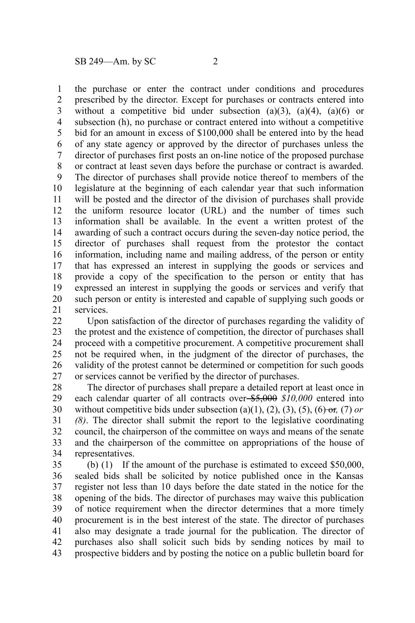the purchase or enter the contract under conditions and procedures prescribed by the director. Except for purchases or contracts entered into without a competitive bid under subsection  $(a)(3)$ ,  $(a)(4)$ ,  $(a)(6)$  or subsection (h), no purchase or contract entered into without a competitive bid for an amount in excess of \$100,000 shall be entered into by the head of any state agency or approved by the director of purchases unless the director of purchases first posts an on-line notice of the proposed purchase or contract at least seven days before the purchase or contract is awarded. The director of purchases shall provide notice thereof to members of the legislature at the beginning of each calendar year that such information will be posted and the director of the division of purchases shall provide the uniform resource locator (URL) and the number of times such information shall be available. In the event a written protest of the awarding of such a contract occurs during the seven-day notice period, the director of purchases shall request from the protestor the contact information, including name and mailing address, of the person or entity that has expressed an interest in supplying the goods or services and provide a copy of the specification to the person or entity that has expressed an interest in supplying the goods or services and verify that such person or entity is interested and capable of supplying such goods or services. 1 2 3 4 5 6 7 8 9 10 11 12 13 14 15 16 17 18 19 20 21

Upon satisfaction of the director of purchases regarding the validity of the protest and the existence of competition, the director of purchases shall proceed with a competitive procurement. A competitive procurement shall not be required when, in the judgment of the director of purchases, the validity of the protest cannot be determined or competition for such goods or services cannot be verified by the director of purchases. 22 23 24 25 26 27

The director of purchases shall prepare a detailed report at least once in each calendar quarter of all contracts over \$5,000 \$10,000 entered into without competitive bids under subsection (a)(1), (2), (3), (5), (6)- $\Theta$ *r*, (7) *or (8)*. The director shall submit the report to the legislative coordinating council, the chairperson of the committee on ways and means of the senate and the chairperson of the committee on appropriations of the house of representatives. 28 29 30 31 32 33 34

(b) (1) If the amount of the purchase is estimated to exceed \$50,000, sealed bids shall be solicited by notice published once in the Kansas register not less than 10 days before the date stated in the notice for the opening of the bids. The director of purchases may waive this publication of notice requirement when the director determines that a more timely procurement is in the best interest of the state. The director of purchases also may designate a trade journal for the publication. The director of purchases also shall solicit such bids by sending notices by mail to prospective bidders and by posting the notice on a public bulletin board for 35 36 37 38 39 40 41 42 43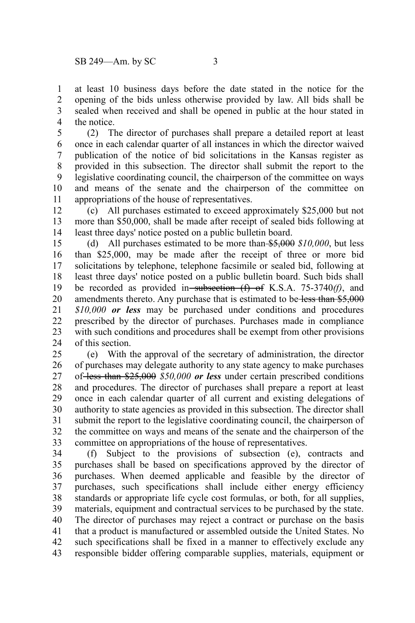at least 10 business days before the date stated in the notice for the opening of the bids unless otherwise provided by law. All bids shall be sealed when received and shall be opened in public at the hour stated in the notice. 1 2 3 4

(2) The director of purchases shall prepare a detailed report at least once in each calendar quarter of all instances in which the director waived publication of the notice of bid solicitations in the Kansas register as provided in this subsection. The director shall submit the report to the legislative coordinating council, the chairperson of the committee on ways and means of the senate and the chairperson of the committee on appropriations of the house of representatives. 5 6 7 8 9 10 11

(c) All purchases estimated to exceed approximately \$25,000 but not more than \$50,000, shall be made after receipt of sealed bids following at least three days' notice posted on a public bulletin board. 12 13 14

(d) All purchases estimated to be more than \$5,000 *\$10,000*, but less than \$25,000, may be made after the receipt of three or more bid solicitations by telephone, telephone facsimile or sealed bid, following at least three days' notice posted on a public bulletin board. Such bids shall be recorded as provided in subsection (f) of K.S.A. 75-3740*(f)*, and amendments thereto. Any purchase that is estimated to be less than \$5,000 *\$10,000 or less* may be purchased under conditions and procedures prescribed by the director of purchases. Purchases made in compliance with such conditions and procedures shall be exempt from other provisions of this section. 15 16 17 18 19 20 21 22 23 24

(e) With the approval of the secretary of administration, the director of purchases may delegate authority to any state agency to make purchases of less than \$25,000 *\$50,000 or less* under certain prescribed conditions and procedures. The director of purchases shall prepare a report at least once in each calendar quarter of all current and existing delegations of authority to state agencies as provided in this subsection. The director shall submit the report to the legislative coordinating council, the chairperson of the committee on ways and means of the senate and the chairperson of the committee on appropriations of the house of representatives. 25 26 27 28 29 30 31 32 33

(f) Subject to the provisions of subsection (e), contracts and purchases shall be based on specifications approved by the director of purchases. When deemed applicable and feasible by the director of purchases, such specifications shall include either energy efficiency standards or appropriate life cycle cost formulas, or both, for all supplies, materials, equipment and contractual services to be purchased by the state. The director of purchases may reject a contract or purchase on the basis that a product is manufactured or assembled outside the United States. No such specifications shall be fixed in a manner to effectively exclude any responsible bidder offering comparable supplies, materials, equipment or 34 35 36 37 38 39 40 41 42 43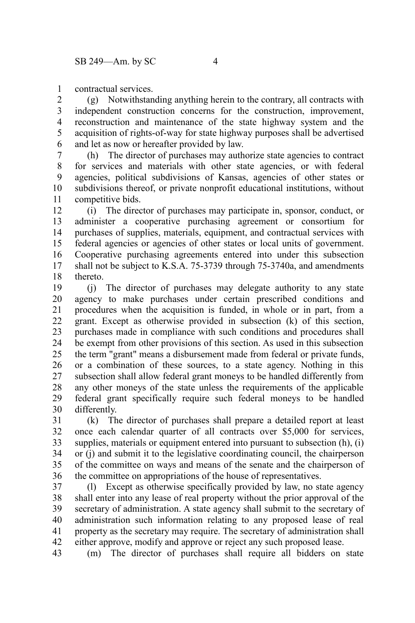contractual services. 1

(g) Notwithstanding anything herein to the contrary, all contracts with independent construction concerns for the construction, improvement, reconstruction and maintenance of the state highway system and the acquisition of rights-of-way for state highway purposes shall be advertised and let as now or hereafter provided by law. 2 3 4 5 6

(h) The director of purchases may authorize state agencies to contract for services and materials with other state agencies, or with federal agencies, political subdivisions of Kansas, agencies of other states or subdivisions thereof, or private nonprofit educational institutions, without competitive bids. 7 8 9 10 11

(i) The director of purchases may participate in, sponsor, conduct, or administer a cooperative purchasing agreement or consortium for purchases of supplies, materials, equipment, and contractual services with federal agencies or agencies of other states or local units of government. Cooperative purchasing agreements entered into under this subsection shall not be subject to K.S.A. 75-3739 through 75-3740a, and amendments thereto. 12 13 14 15 16 17 18

(j) The director of purchases may delegate authority to any state agency to make purchases under certain prescribed conditions and procedures when the acquisition is funded, in whole or in part, from a grant. Except as otherwise provided in subsection (k) of this section, purchases made in compliance with such conditions and procedures shall be exempt from other provisions of this section. As used in this subsection the term "grant" means a disbursement made from federal or private funds, or a combination of these sources, to a state agency. Nothing in this subsection shall allow federal grant moneys to be handled differently from any other moneys of the state unless the requirements of the applicable federal grant specifically require such federal moneys to be handled differently. 19 20 21 22 23 24 25 26 27 28 29 30

(k) The director of purchases shall prepare a detailed report at least once each calendar quarter of all contracts over \$5,000 for services, supplies, materials or equipment entered into pursuant to subsection (h), (i) or (j) and submit it to the legislative coordinating council, the chairperson of the committee on ways and means of the senate and the chairperson of the committee on appropriations of the house of representatives. 31 32 33 34 35 36

(l) Except as otherwise specifically provided by law, no state agency shall enter into any lease of real property without the prior approval of the secretary of administration. A state agency shall submit to the secretary of administration such information relating to any proposed lease of real property as the secretary may require. The secretary of administration shall either approve, modify and approve or reject any such proposed lease. 37 38 39 40 41 42

(m) The director of purchases shall require all bidders on state 43